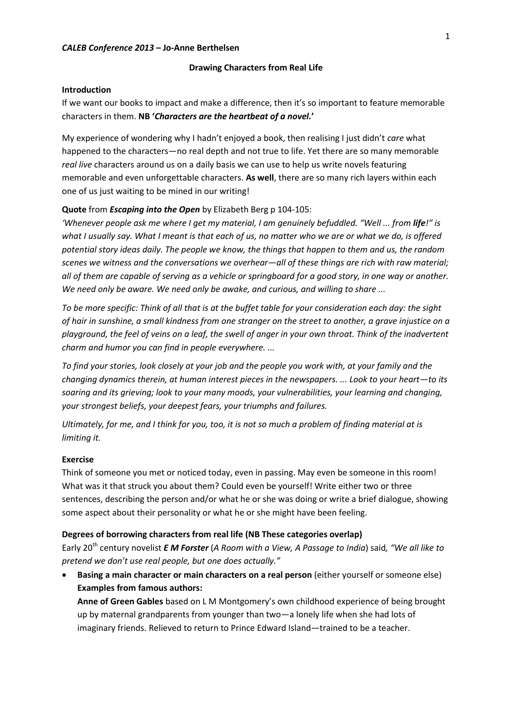#### **Drawing Characters from Real Life**

### **Introduction**

If we want our books to impact and make a difference, then it's so important to feature memorable characters in them. **NB '***Characters are the heartbeat of a novel.***'**

My experience of wondering why I hadn't enjoyed a book, then realising I just didn't *care* what happened to the characters—no real depth and not true to life. Yet there are so many memorable *real live* characters around us on a daily basis we can use to help us write novels featuring memorable and even unforgettable characters. **As well**, there are so many rich layers within each one of us just waiting to be mined in our writing!

### **Quote** from *Escaping into the Open* by Elizabeth Berg p 104-105:

*'Whenever people ask me where I get my material, I am genuinely befuddled. "Well ... from life!" is what I usually say. What I meant is that each of us, no matter who we are or what we do, is offered potential story ideas daily. The people we know, the things that happen to them and us, the random scenes we witness and the conversations we overhear—all of these things are rich with raw material; all of them are capable of serving as a vehicle or springboard for a good story, in one way or another. We need only be aware. We need only be awake, and curious, and willing to share ...*

*To be more specific: Think of all that is at the buffet table for your consideration each day: the sight of hair in sunshine, a small kindness from one stranger on the street to another, a grave injustice on a playground, the feel of veins on a leaf, the swell of anger in your own throat. Think of the inadvertent charm and humor you can find in people everywhere. ...* 

*To find your stories, look closely at your job and the people you work with, at your family and the changing dynamics therein, at human interest pieces in the newspapers. ... Look to your heart—to its soaring and its grieving; look to your many moods, your vulnerabilities, your learning and changing, your strongest beliefs, your deepest fears, your triumphs and failures.* 

*Ultimately, for me, and I think for you, too, it is not so much a problem of finding material at is limiting it.*

### **Exercise**

Think of someone you met or noticed today, even in passing. May even be someone in this room! What was it that struck you about them? Could even be yourself! Write either two or three sentences, describing the person and/or what he or she was doing or write a brief dialogue, showing some aspect about their personality or what he or she might have been feeling.

### **Degrees of borrowing characters from real life (NB These categories overlap)**

Early 20th century novelist *E M Forster* (*A Room with a View, A Passage to India*) said*, "We all like to pretend we don't use real people, but one does actually."* 

 **Basing a main character or main characters on a real person** (either yourself or someone else) **Examples from famous authors:**

**Anne of Green Gables** based on L M Montgomery's own childhood experience of being brought up by maternal grandparents from younger than two—a lonely life when she had lots of imaginary friends. Relieved to return to Prince Edward Island—trained to be a teacher.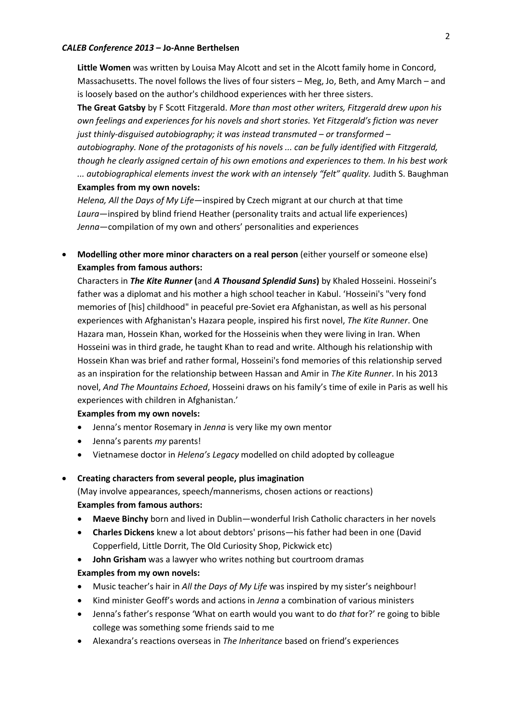**Little Women** was written by Louisa May Alcott and set in the Alcott family home in Concord, Massachusetts. The novel follows the lives of four sisters – Meg, Jo, Beth, and Amy March – and is loosely based on the author's childhood experiences with her three sisters.

**The Great Gatsby** by F Scott Fitzgerald. *More than most other writers, Fitzgerald drew upon his own feelings and experiences for his novels and short stories. Yet Fitzgerald's fiction was never just thinly-disguised autobiography; it was instead transmuted – or transformed – autobiography. None of the protagonists of his novels ... can be fully identified with Fitzgerald, though he clearly assigned certain of his own emotions and experiences to them. In his best work ... autobiographical elements invest the work with an intensely "felt" quality.* Judith S. Baughman **Examples from my own novels:**

*Helena, All the Days of My Life—*inspired by Czech migrant at our church at that time *Laura*—inspired by blind friend Heather (personality traits and actual life experiences) *Jenna*—compilation of my own and others' personalities and experiences

 **Modelling other more minor characters on a real person** (either yourself or someone else) **Examples from famous authors:**

Characters in *The Kite Runner* **(**and *A Thousand Splendid Suns***)** by Khaled Hosseini. Hosseini's father was a diplomat and his mother a high school teacher in Kabul. 'Hosseini's "very fond memories of [his] childhood" in peaceful pre-Soviet era Afghanistan, as well as his personal experiences with Afghanistan's Hazara people, inspired his first novel, *The Kite Runner*. One Hazara man, Hossein Khan, worked for the Hosseinis when they were living in Iran. When Hosseini was in third grade, he taught Khan to read and write. Although his relationship with Hossein Khan was brief and rather formal, Hosseini's fond memories of this relationship served as an inspiration for the relationship between Hassan and Amir in *The Kite Runner*. In his 2013 novel, *And The Mountains Echoed*, Hosseini draws on his family's time of exile in Paris as well his experiences with children in Afghanistan.'

# **Examples from my own novels:**

- Jenna's mentor Rosemary in *Jenna* is very like my own mentor
- Jenna's parents *my* parents!
- Vietnamese doctor in *Helena's Legacy* modelled on child adopted by colleague

# **Creating characters from several people, plus imagination**

(May involve appearances, speech/mannerisms, chosen actions or reactions) **Examples from famous authors:**

- **Maeve Binchy** born and lived in Dublin—wonderful Irish Catholic characters in her novels
- **Charles Dickens** knew a lot about debtors' prisons—his father had been in one (David Copperfield, Little Dorrit, The Old Curiosity Shop, Pickwick etc)
- **John Grisham** was a lawyer who writes nothing but courtroom dramas **Examples from my own novels:**
- Music teacher's hair in *All the Days of My Life* was inspired by my sister's neighbour!
- Kind minister Geoff's words and actions in *Jenna* a combination of various ministers
- Jenna's father's response 'What on earth would you want to do *that* for?' re going to bible college was something some friends said to me
- Alexandra's reactions overseas in *The Inheritance* based on friend's experiences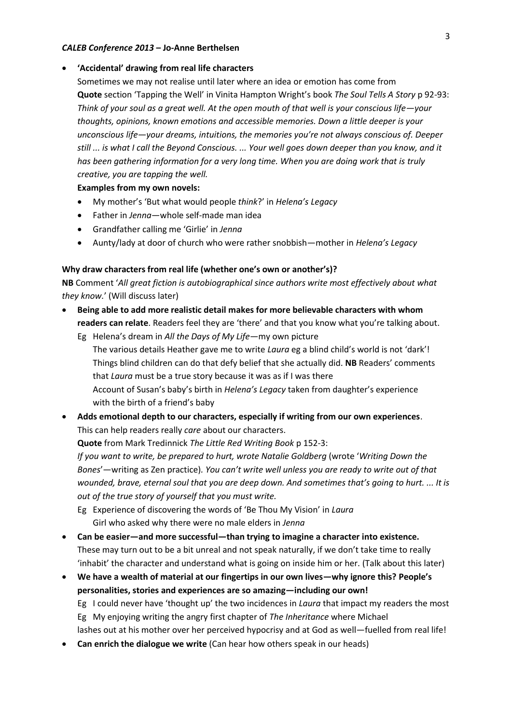## **'Accidental' drawing from real life characters**

Sometimes we may not realise until later where an idea or emotion has come from **Quote** section 'Tapping the Well' in Vinita Hampton Wright's book *The Soul Tells A Story* p 92-93: *Think of your soul as a great well. At the open mouth of that well is your conscious life—your thoughts, opinions, known emotions and accessible memories. Down a little deeper is your unconscious life—your dreams, intuitions, the memories you're not always conscious of. Deeper still ... is what I call the Beyond Conscious. ... Your well goes down deeper than you know, and it has been gathering information for a very long time. When you are doing work that is truly creative, you are tapping the well.* 

# **Examples from my own novels:**

- My mother's 'But what would people *think*?' in *Helena's Legacy*
- Father in *Jenna*—whole self-made man idea
- Grandfather calling me 'Girlie' in *Jenna*
- Aunty/lady at door of church who were rather snobbish—mother in *Helena's Legacy*

# **Why draw characters from real life (whether one's own or another's)?**

**NB** Comment '*All great fiction is autobiographical since authors write most effectively about what they know.*' (Will discuss later)

- **Being able to add more realistic detail makes for more believable characters with whom readers can relate**. Readers feel they are 'there' and that you know what you're talking about.
	- Eg Helena's dream in *All the Days of My Life*—my own picture The various details Heather gave me to write *Laura* eg a blind child's world is not 'dark'! Things blind children can do that defy belief that she actually did. **NB** Readers' comments that *Laura* must be a true story because it was as if I was there Account of Susan's baby's birth in *Helena's Legacy* taken from daughter's experience with the birth of a friend's baby
- **Adds emotional depth to our characters, especially if writing from our own experiences**. This can help readers really *care* about our characters.

**Quote** from Mark Tredinnick *The Little Red Writing Book* p 152-3:

*If you want to write, be prepared to hurt, wrote Natalie Goldberg* (wrote '*Writing Down the Bones*'—writing as Zen practice)*. You can't write well unless you are ready to write out of that wounded, brave, eternal soul that you are deep down. And sometimes that's going to hurt. ... It is out of the true story of yourself that you must write.*

- Eg Experience of discovering the words of 'Be Thou My Vision' in *Laura* Girl who asked why there were no male elders in *Jenna*
- **Can be easier—and more successful—than trying to imagine a character into existence.** These may turn out to be a bit unreal and not speak naturally, if we don't take time to really 'inhabit' the character and understand what is going on inside him or her. (Talk about this later)
- **We have a wealth of material at our fingertips in our own lives—why ignore this? People's personalities, stories and experiences are so amazing—including our own!** Eg I could never have 'thought up' the two incidences in *Laura* that impact my readers the most Eg My enjoying writing the angry first chapter of *The Inheritance* where Michael lashes out at his mother over her perceived hypocrisy and at God as well—fuelled from real life!
- **Can enrich the dialogue we write** (Can hear how others speak in our heads)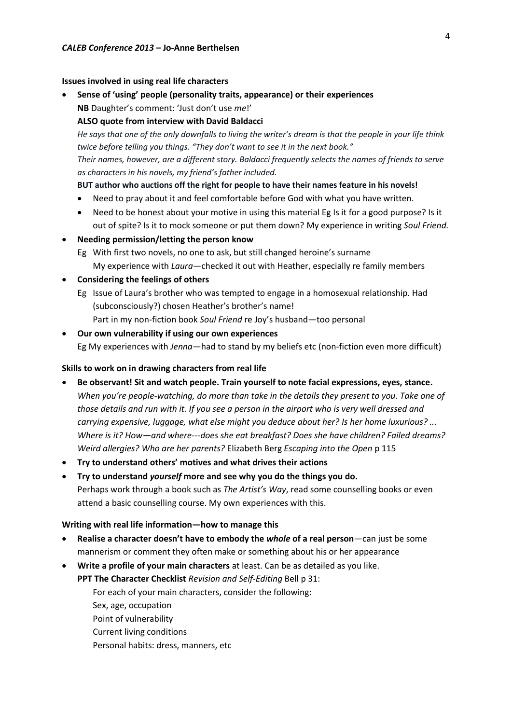### **Issues involved in using real life characters**

 **Sense of 'using' people (personality traits, appearance) or their experiences NB** Daughter's comment: 'Just don't use *me*!'

# **ALSO quote from interview with David Baldacci**

*He says that one of the only downfalls to living the writer's dream is that the people in your life think twice before telling you things. "They don't want to see it in the next book."*

*Their names, however, are a different story. Baldacci frequently selects the names of friends to serve as characters in his novels, my friend's father included.*

# **BUT author who auctions off the right for people to have their names feature in his novels!**

- Need to pray about it and feel comfortable before God with what you have written.
- Need to be honest about your motive in using this material Eg Is it for a good purpose? Is it out of spite? Is it to mock someone or put them down? My experience in writing *Soul Friend.*
- **Needing permission/letting the person know**
	- Eg With first two novels, no one to ask, but still changed heroine's surname My experience with *Laura*—checked it out with Heather, especially re family members
- **Considering the feelings of others**
	- Eg Issue of Laura's brother who was tempted to engage in a homosexual relationship. Had (subconsciously?) chosen Heather's brother's name! Part in my non-fiction book *Soul Friend* re Joy's husband—too personal
- **Our own vulnerability if using our own experiences** Eg My experiences with *Jenna*—had to stand by my beliefs etc (non-fiction even more difficult)

## **Skills to work on in drawing characters from real life**

- **Be observant! Sit and watch people. Train yourself to note facial expressions, eyes, stance.** *When you're people-watching, do more than take in the details they present to you. Take one of those details and run with it. If you see a person in the airport who is very well dressed and carrying expensive, luggage, what else might you deduce about her? Is her home luxurious? ... Where is it? How—and where---does she eat breakfast? Does she have children? Failed dreams? Weird allergies? Who are her parents?* Elizabeth Berg *Escaping into the Open* p 115
- **Try to understand others' motives and what drives their actions**
- **Try to understand** *yourself* **more and see why you do the things you do.** Perhaps work through a book such as *The Artist's Way*, read some counselling books or even attend a basic counselling course. My own experiences with this.

#### **Writing with real life information—how to manage this**

- **Realise a character doesn't have to embody the** *whole* **of a real person**—can just be some mannerism or comment they often make or something about his or her appearance
- **Write a profile of your main characters** at least. Can be as detailed as you like.

**PPT The Character Checklist** *Revision and Self-Editing* Bell p 31:

For each of your main characters, consider the following:

- Sex, age, occupation
- Point of vulnerability
- Current living conditions
- Personal habits: dress, manners, etc